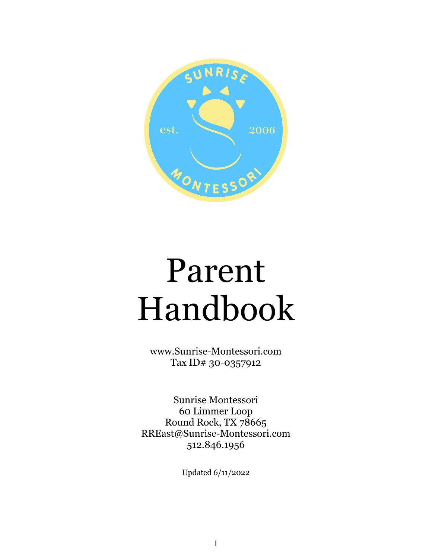

# Parent Handbook

www.[Sunrise-Montessori.com](http://www.sunrise-montessori.com/) Tax ID# 30-0357912

Sunrise Montessori 60 Limmer Loop Round Rock, TX 78665 RREast@Sunrise-Montessori.com 512.846.1956

Updated 6/11/2022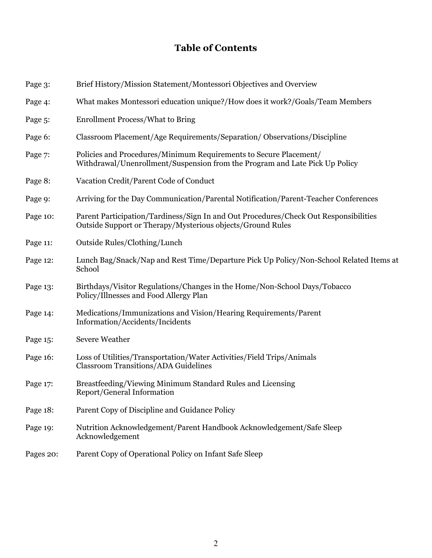# **Table of Contents**

| Page 3:   | Brief History/Mission Statement/Montessori Objectives and Overview                                                                                 |
|-----------|----------------------------------------------------------------------------------------------------------------------------------------------------|
| Page 4:   | What makes Montessori education unique?/How does it work?/Goals/Team Members                                                                       |
| Page 5:   | <b>Enrollment Process/What to Bring</b>                                                                                                            |
| Page 6:   | Classroom Placement/Age Requirements/Separation/Observations/Discipline                                                                            |
| Page 7:   | Policies and Procedures/Minimum Requirements to Secure Placement/<br>Withdrawal/Unenrollment/Suspension from the Program and Late Pick Up Policy   |
| Page 8:   | Vacation Credit/Parent Code of Conduct                                                                                                             |
| Page 9:   | Arriving for the Day Communication/Parental Notification/Parent-Teacher Conferences                                                                |
| Page 10:  | Parent Participation/Tardiness/Sign In and Out Procedures/Check Out Responsibilities<br>Outside Support or Therapy/Mysterious objects/Ground Rules |
| Page 11:  | Outside Rules/Clothing/Lunch                                                                                                                       |
| Page 12:  | Lunch Bag/Snack/Nap and Rest Time/Departure Pick Up Policy/Non-School Related Items at<br>School                                                   |
| Page 13:  | Birthdays/Visitor Regulations/Changes in the Home/Non-School Days/Tobacco<br>Policy/Illnesses and Food Allergy Plan                                |
| Page 14:  | Medications/Immunizations and Vision/Hearing Requirements/Parent<br>Information/Accidents/Incidents                                                |
| Page 15:  | <b>Severe Weather</b>                                                                                                                              |
| Page 16:  | Loss of Utilities/Transportation/Water Activities/Field Trips/Animals<br><b>Classroom Transitions/ADA Guidelines</b>                               |
| Page 17:  | Breastfeeding/Viewing Minimum Standard Rules and Licensing<br>Report/General Information                                                           |
| Page 18:  | Parent Copy of Discipline and Guidance Policy                                                                                                      |
| Page 19:  | Nutrition Acknowledgement/Parent Handbook Acknowledgement/Safe Sleep<br>Acknowledgement                                                            |
| Pages 20: | Parent Copy of Operational Policy on Infant Safe Sleep                                                                                             |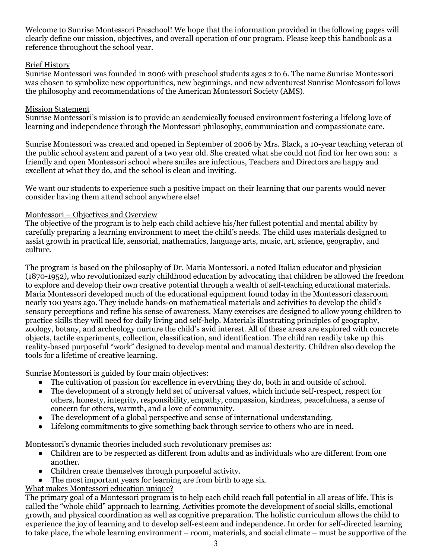Welcome to Sunrise Montessori Preschool! We hope that the information provided in the following pages will clearly define our mission, objectives, and overall operation of our program. Please keep this handbook as a reference throughout the school year.

# Brief History

Sunrise Montessori was founded in 2006 with preschool students ages 2 to 6. The name Sunrise Montessori was chosen to symbolize new opportunities, new beginnings, and new adventures! Sunrise Montessori follows the philosophy and recommendations of the American Montessori Society (AMS).

# Mission Statement

Sunrise Montessori's mission is to provide an academically focused environment fostering a lifelong love of learning and independence through the Montessori philosophy, communication and compassionate care.

Sunrise Montessori was created and opened in September of 2006 by Mrs. Black, a 10-year teaching veteran of the public school system and parent of a two year old. She created what she could not find for her own son: a friendly and open Montessori school where smiles are infectious, Teachers and Directors are happy and excellent at what they do, and the school is clean and inviting.

We want our students to experience such a positive impact on their learning that our parents would never consider having them attend school anywhere else!

# Montessori – Objectives and Overview

The objective of the program is to help each child achieve his/her fullest potential and mental ability by carefully preparing a learning environment to meet the child's needs. The child uses materials designed to assist growth in practical life, sensorial, mathematics, language arts, music, art, science, geography, and culture.

The program is based on the philosophy of Dr. Maria Montessori, a noted Italian educator and physician (1870-1952), who revolutionized early childhood education by advocating that children be allowed the freedom to explore and develop their own creative potential through a wealth of self-teaching educational materials. Maria Montessori developed much of the educational equipment found today in the Montessori classroom nearly 100 years ago. They include hands-on mathematical materials and activities to develop the child's sensory perceptions and refine his sense of awareness. Many exercises are designed to allow young children to practice skills they will need for daily living and self-help. Materials illustrating principles of geography, zoology, botany, and archeology nurture the child's avid interest. All of these areas are explored with concrete objects, tactile experiments, collection, classification, and identification. The children readily take up this reality-based purposeful "work" designed to develop mental and manual dexterity. Children also develop the tools for a lifetime of creative learning.

Sunrise Montessori is guided by four main objectives:

- The cultivation of passion for excellence in everything they do, both in and outside of school.
- The development of a strongly held set of universal values, which include self-respect, respect for others, honesty, integrity, responsibility, empathy, compassion, kindness, peacefulness, a sense of concern for others, warmth, and a love of community.
- The development of a global perspective and sense of international understanding.
- Lifelong commitments to give something back through service to others who are in need.

Montessori's dynamic theories included such revolutionary premises as:

- Children are to be respected as different from adults and as individuals who are different from one another.
- Children create themselves through purposeful activity.
- The most important years for learning are from birth to age six.

# What makes Montessori education unique?

The primary goal of a Montessori program is to help each child reach full potential in all areas of life. This is called the "whole child" approach to learning. Activities promote the development of social skills, emotional growth, and physical coordination as well as cognitive preparation. The holistic curriculum allows the child to experience the joy of learning and to develop self-esteem and independence. In order for self-directed learning to take place, the whole learning environment – room, materials, and social climate – must be supportive of the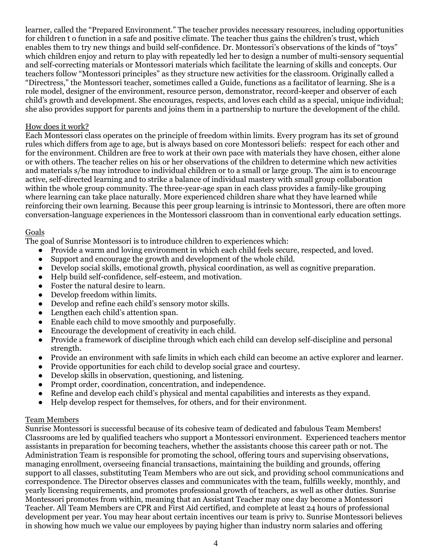learner, called the "Prepared Environment." The teacher provides necessary resources, including opportunities for children t o function in a safe and positive climate. The teacher thus gains the children's trust, which enables them to try new things and build self-confidence. Dr. Montessori's observations of the kinds of "toys" which children enjoy and return to play with repeatedly led her to design a number of multi-sensory sequential and self-correcting materials or Montessori materials which facilitate the learning of skills and concepts. Our teachers follow "Montessori principles" as they structure new activities for the classroom. Originally called a "Directress," the Montessori teacher, sometimes called a Guide, functions as a facilitator of learning. She is a role model, designer of the environment, resource person, demonstrator, record-keeper and observer of each child's growth and development. She encourages, respects, and loves each child as a special, unique individual; she also provides support for parents and joins them in a partnership to nurture the development of the child.

#### How does it work?

Each Montessori class operates on the principle of freedom within limits. Every program has its set of ground rules which differs from age to age, but is always based on core Montessori beliefs: respect for each other and for the environment. Children are free to work at their own pace with materials they have chosen, either alone or with others. The teacher relies on his or her observations of the children to determine which new activities and materials s/he may introduce to individual children or to a small or large group. The aim is to encourage active, self-directed learning and to strike a balance of individual mastery with small group collaboration within the whole group community. The three-year-age span in each class provides a family-like grouping where learning can take place naturally. More experienced children share what they have learned while reinforcing their own learning. Because this peer group learning is intrinsic to Montessori, there are often more conversation-language experiences in the Montessori classroom than in conventional early education settings.

# Goals

The goal of Sunrise Montessori is to introduce children to experiences which:

- Provide a warm and loving environment in which each child feels secure, respected, and loved.
- Support and encourage the growth and development of the whole child.
- Develop social skills, emotional growth, physical coordination, as well as cognitive preparation.
- Help build self-confidence, self-esteem, and motivation.
- Foster the natural desire to learn.
- Develop freedom within limits.
- Develop and refine each child's sensory motor skills.
- Lengthen each child's attention span.
- Enable each child to move smoothly and purposefully.
- Encourage the development of creativity in each child.
- Provide a framework of discipline through which each child can develop self-discipline and personal strength.
- Provide an environment with safe limits in which each child can become an active explorer and learner.
- Provide opportunities for each child to develop social grace and courtesy.
- Develop skills in observation, questioning, and listening.
- Prompt order, coordination, concentration, and independence.
- Refine and develop each child's physical and mental capabilities and interests as they expand.
- Help develop respect for themselves, for others, and for their environment.

# Team Members

Sunrise Montessori is successful because of its cohesive team of dedicated and fabulous Team Members! Classrooms are led by qualified teachers who support a Montessori environment. Experienced teachers mentor assistants in preparation for becoming teachers, whether the assistants choose this career path or not. The Administration Team is responsible for promoting the school, offering tours and supervising observations, managing enrollment, overseeing financial transactions, maintaining the building and grounds, offering support to all classes, substituting Team Members who are out sick, and providing school communications and correspondence. The Director observes classes and communicates with the team, fulfills weekly, monthly, and yearly licensing requirements, and promotes professional growth of teachers, as well as other duties. Sunrise Montessori promotes from within, meaning that an Assistant Teacher may one day become a Montessori Teacher. All Team Members are CPR and First Aid certified, and complete at least 24 hours of professional development per year. You may hear about certain incentives our team is privy to. Sunrise Montessori believes in showing how much we value our employees by paying higher than industry norm salaries and offering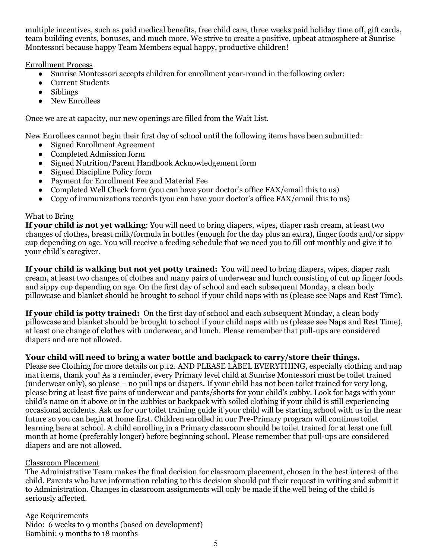multiple incentives, such as paid medical benefits, free child care, three weeks paid holiday time off, gift cards, team building events, bonuses, and much more. We strive to create a positive, upbeat atmosphere at Sunrise Montessori because happy Team Members equal happy, productive children!

# Enrollment Process

- Sunrise Montessori accepts children for enrollment year-round in the following order:
- Current Students
- Siblings
- New Enrollees

Once we are at capacity, our new openings are filled from the Wait List.

New Enrollees cannot begin their first day of school until the following items have been submitted:

- Signed Enrollment Agreement
- Completed Admission form
- Signed Nutrition/Parent Handbook Acknowledgement form
- Signed Discipline Policy form
- Payment for Enrollment Fee and Material Fee
- Completed Well Check form (you can have your doctor's office FAX/email this to us)
- Copy of immunizations records (you can have your doctor's office FAX/email this to us)

# What to Bring

**If your child is not yet walking**: You will need to bring diapers, wipes, diaper rash cream, at least two changes of clothes, breast milk/formula in bottles (enough for the day plus an extra), finger foods and/or sippy cup depending on age. You will receive a feeding schedule that we need you to fill out monthly and give it to your child's caregiver.

**If your child is walking but not yet potty trained:** You will need to bring diapers, wipes, diaper rash cream, at least two changes of clothes and many pairs of underwear and lunch consisting of cut up finger foods and sippy cup depending on age. On the first day of school and each subsequent Monday, a clean body pillowcase and blanket should be brought to school if your child naps with us (please see Naps and Rest Time).

**If your child is potty trained:** On the first day of school and each subsequent Monday, a clean body pillowcase and blanket should be brought to school if your child naps with us (please see Naps and Rest Time), at least one change of clothes with underwear, and lunch. Please remember that pull-ups are considered diapers and are not allowed.

# **Your child will need to bring a water bottle and backpack to carry/store their things.**

Please see Clothing for more details on p.12. AND PLEASE LABEL EVERYTHING, especially clothing and nap mat items, thank you! As a reminder, every Primary level child at Sunrise Montessori must be toilet trained (underwear only), so please – no pull ups or diapers. If your child has not been toilet trained for very long, please bring at least five pairs of underwear and pants/shorts for your child's cubby. Look for bags with your child's name on it above or in the cubbies or backpack with soiled clothing if your child is still experiencing occasional accidents. Ask us for our toilet training guide if your child will be starting school with us in the near future so you can begin at home first. Children enrolled in our Pre-Primary program will continue toilet learning here at school. A child enrolling in a Primary classroom should be toilet trained for at least one full month at home (preferably longer) before beginning school. Please remember that pull-ups are considered diapers and are not allowed.

# Classroom Placement

The Administrative Team makes the final decision for classroom placement, chosen in the best interest of the child. Parents who have information relating to this decision should put their request in writing and submit it to Administration. Changes in classroom assignments will only be made if the well being of the child is seriously affected.

Age Requirements

Nido: 6 weeks to 9 months (based on development) Bambini: 9 months to 18 months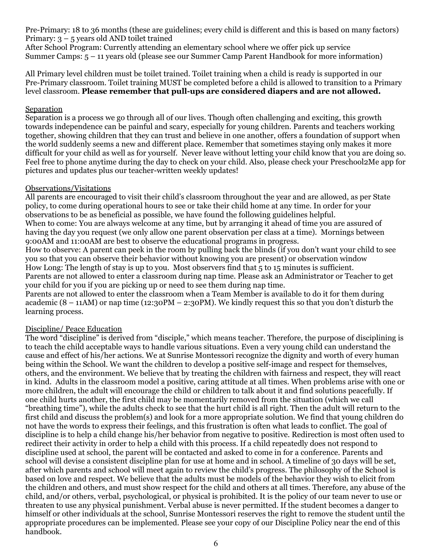Pre-Primary: 18 to 36 months (these are guidelines; every child is different and this is based on many factors) Primary: 3 – 5 years old AND toilet trained

After School Program: Currently attending an elementary school where we offer pick up service Summer Camps: 5 – 11 years old (please see our Summer Camp Parent Handbook for more information)

All Primary level children must be toilet trained. Toilet training when a child is ready is supported in our Pre-Primary classroom. Toilet training MUST be completed before a child is allowed to transition to a Primary level classroom. **Please remember that pull-ups are considered diapers and are not allowed.**

#### Separation

Separation is a process we go through all of our lives. Though often challenging and exciting, this growth towards independence can be painful and scary, especially for young children. Parents and teachers working together, showing children that they can trust and believe in one another, offers a foundation of support when the world suddenly seems a new and different place. Remember that sometimes staying only makes it more difficult for your child as well as for yourself. Never leave without letting your child know that you are doing so. Feel free to phone anytime during the day to check on your child. Also, please check your Preschool2Me app for pictures and updates plus our teacher-written weekly updates!

# Observations/Visitations

All parents are encouraged to visit their child's classroom throughout the year and are allowed, as per State policy, to come during operational hours to see or take their child home at any time. In order for your observations to be as beneficial as possible, we have found the following guidelines helpful.

When to come: You are always welcome at any time, but by arranging it ahead of time you are assured of having the day you request (we only allow one parent observation per class at a time). Mornings between 9:00AM and 11:00AM are best to observe the educational programs in progress.

How to observe: A parent can peek in the room by pulling back the blinds (if you don't want your child to see you so that you can observe their behavior without knowing you are present) or observation window How Long: The length of stay is up to you. Most observers find that  $\frac{1}{5}$  to 15 minutes is sufficient. Parents are not allowed to enter a classroom during nap time. Please ask an Administrator or Teacher to get

your child for you if you are picking up or need to see them during nap time. Parents are not allowed to enter the classroom when a Team Member is available to do it for them during academic  $(8 - 11AM)$  or nap time  $(12:30PM - 2:30PM)$ . We kindly request this so that you don't disturb the

learning process.

# Discipline/ Peace Education

The word "discipline" is derived from "disciple," which means teacher. Therefore, the purpose of disciplining is to teach the child acceptable ways to handle various situations. Even a very young child can understand the cause and effect of his/her actions. We at Sunrise Montessori recognize the dignity and worth of every human being within the School. We want the children to develop a positive self-image and respect for themselves, others, and the environment. We believe that by treating the children with fairness and respect, they will react in kind. Adults in the classroom model a positive, caring attitude at all times. When problems arise with one or more children, the adult will encourage the child or children to talk about it and find solutions peacefully. If one child hurts another, the first child may be momentarily removed from the situation (which we call "breathing time"), while the adults check to see that the hurt child is all right. Then the adult will return to the first child and discuss the problem(s) and look for a more appropriate solution. We find that young children do not have the words to express their feelings, and this frustration is often what leads to conflict. The goal of discipline is to help a child change his/her behavior from negative to positive. Redirection is most often used to redirect their activity in order to help a child with this process. If a child repeatedly does not respond to discipline used at school, the parent will be contacted and asked to come in for a conference. Parents and school will devise a consistent discipline plan for use at home and in school. A timeline of 30 days will be set, after which parents and school will meet again to review the child's progress. The philosophy of the School is based on love and respect. We believe that the adults must be models of the behavior they wish to elicit from the children and others, and must show respect for the child and others at all times. Therefore, any abuse of the child, and/or others, verbal, psychological, or physical is prohibited. It is the policy of our team never to use or threaten to use any physical punishment. Verbal abuse is never permitted. If the student becomes a danger to himself or other individuals at the school, Sunrise Montessori reserves the right to remove the student until the appropriate procedures can be implemented. Please see your copy of our Discipline Policy near the end of this handbook.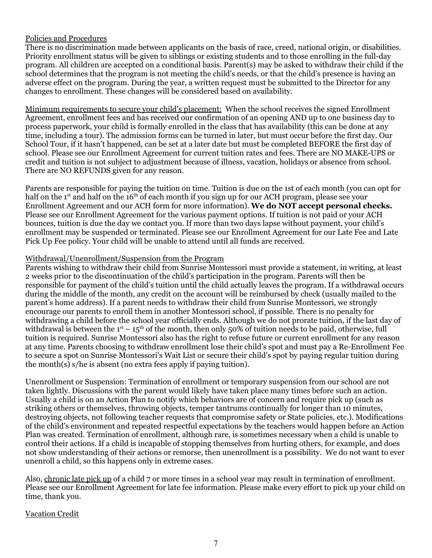# Policies and Procedures

There is no discrimination made between applicants on the basis of race, creed, national origin, or disabilities. Priority enrollment status will be given to siblings or existing students and to those enrolling in the full-day program. All children are accepted on a conditional basis. Parent(s) may be asked to withdraw their child if the school determines that the program is not meeting the child's needs, or that the child's presence is having an adverse effect on the program. During the year, a written request must be submitted to the Director for any changes to enrollment. These changes will be considered based on availability.

Minimum requirements to secure your child's placement: When the school receives the signed Enrollment Agreement, enrollment fees and has received our confirmation of an opening AND up to one business day to process paperwork, your child is formally enrolled in the class that has availability (this can be done at any time, including a tour). The admission forms can be turned in later, but must occur before the first day. Our School Tour, if it hasn't happened, can be set at a later date but must be completed BEFORE the first day of school. Please see our Enrollment Agreement for current tuition rates and fees. There are NO MAKE-UPS or credit and tuition is not subject to adjustment because of illness, vacation, holidays or absence from school. There are NO REFUNDS given for any reason.

Parents are responsible for paying the tuition on time. Tuition is due on the 1st of each month (you can opt for half on the 1<sup>st</sup> and half on the 16<sup>th</sup> of each month if you sign up for our ACH program, please see your Enrollment Agreement and our ACH form for more information). **We do NOT accept personal checks.** Please see our Enrollment Agreement for the various payment options. If tuition is not paid or your ACH bounces, tuition is due the day we contact you. If more than two days lapse without payment, your child's enrollment may be suspended or terminated. Please see our Enrollment Agreement for our Late Fee and Late Pick Up Fee policy. Your child will be unable to attend until all funds are received.

#### Withdrawal/Unenrollment/Suspension from the Program

Parents wishing to withdraw their child from Sunrise Montessori must provide a statement, in writing, at least 2 weeks prior to the discontinuation of the child's participation in the program. Parents will then be responsible for payment of the child's tuition until the child actually leaves the program. If a withdrawal occurs during the middle of the month, any credit on the account will be reimbursed by check (usually mailed to the parent's home address). If a parent needs to withdraw their child from Sunrise Montessori, we strongly encourage our parents to enroll them in another Montessori school, if possible. There is no penalty for withdrawing a child before the school year officially ends. Although we do not prorate tuition, if the last day of withdrawal is between the  $1<sup>st</sup> - 15<sup>th</sup>$  of the month, then only 50% of tuition needs to be paid, otherwise, full tuition is required. Sunrise Montessori also has the right to refuse future or current enrollment for any reason at any time. Parents choosing to withdraw enrollment lose their child's spot and must pay a Re-Enrollment Fee to secure a spot on Sunrise Montessori's Wait List or secure their child's spot by paying regular tuition during the month(s) s/he is absent (no extra fees apply if paying tuition).

Unenrollment or Suspension: Termination of enrollment or temporary suspension from our school are not taken lightly. Discussions with the parent would likely have taken place many times before such an action. Usually a child is on an Action Plan to notify which behaviors are of concern and require pick up (such as striking others or themselves, throwing objects, temper tantrums continually for longer than 10 minutes, destroying objects, not following teacher requests that compromise safety or State policies, etc.). Modifications of the child's environment and repeated respectful expectations by the teachers would happen before an Action Plan was created. Termination of enrollment, although rare, is sometimes necessary when a child is unable to control their actions. If a child is incapable of stopping themselves from hurting others, for example, and does not show understanding of their actions or remorse, then unenrollment is a possibility. We do not want to ever unenroll a child, so this happens only in extreme cases.

Also, chronic late pick up of a child 7 or more times in a school year may result in termination of enrollment. Please see our Enrollment Agreement for late fee information. Please make every effort to pick up your child on time, thank you.

# Vacation Credit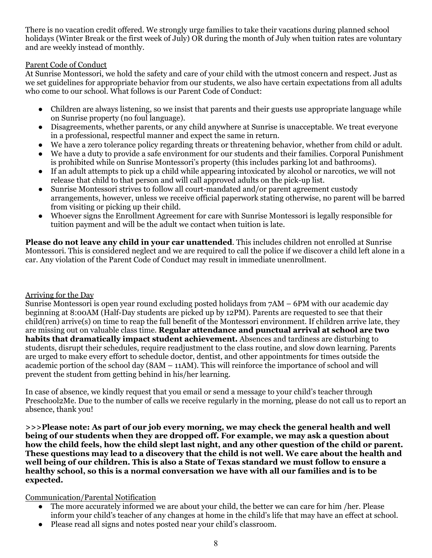There is no vacation credit offered. We strongly urge families to take their vacations during planned school holidays (Winter Break or the first week of July) OR during the month of July when tuition rates are voluntary and are weekly instead of monthly.

# Parent Code of Conduct

At Sunrise Montessori, we hold the safety and care of your child with the utmost concern and respect. Just as we set guidelines for appropriate behavior from our students, we also have certain expectations from all adults who come to our school. What follows is our Parent Code of Conduct:

- Children are always listening, so we insist that parents and their guests use appropriate language while on Sunrise property (no foul language).
- Disagreements, whether parents, or any child anywhere at Sunrise is unacceptable. We treat everyone in a professional, respectful manner and expect the same in return.
- We have a zero tolerance policy regarding threats or threatening behavior, whether from child or adult.
- We have a duty to provide a safe environment for our students and their families. Corporal Punishment is prohibited while on Sunrise Montessori's property (this includes parking lot and bathrooms).
- If an adult attempts to pick up a child while appearing intoxicated by alcohol or narcotics, we will not release that child to that person and will call approved adults on the pick-up list.
- Sunrise Montessori strives to follow all court-mandated and/or parent agreement custody arrangements, however, unless we receive official paperwork stating otherwise, no parent will be barred from visiting or picking up their child.
- Whoever signs the Enrollment Agreement for care with Sunrise Montessori is legally responsible for tuition payment and will be the adult we contact when tuition is late.

**Please do not leave any child in your car unattended**. This includes children not enrolled at Sunrise Montessori. This is considered neglect and we are required to call the police if we discover a child left alone in a car. Any violation of the Parent Code of Conduct may result in immediate unenrollment.

# Arriving for the Day

Sunrise Montessori is open year round excluding posted holidays from 7AM – 6PM with our academic day beginning at 8:00AM (Half-Day students are picked up by 12PM). Parents are requested to see that their child(ren) arrive(s) on time to reap the full benefit of the Montessori environment. If children arrive late, they are missing out on valuable class time. **Regular attendance and punctual arrival at school are two habits that dramatically impact student achievement.** Absences and tardiness are disturbing to students, disrupt their schedules, require readjustment to the class routine, and slow down learning. Parents are urged to make every effort to schedule doctor, dentist, and other appointments for times outside the academic portion of the school day (8AM – 11AM). This will reinforce the importance of school and will prevent the student from getting behind in his/her learning.

In case of absence, we kindly request that you email or send a message to your child's teacher through Preschool2Me. Due to the number of calls we receive regularly in the morning, please do not call us to report an absence, thank you!

**>>>Please note: As part of our job every morning, we may check the general health and well being of our students when they are dropped off. For example, we may ask a question about** how the child feels, how the child slept last night, and any other question of the child or parent. **These questions may lead to a discovery that the child is not well. We care about the health and well being of our children. This is also a State of Texas standard we must follow to ensure a healthy school, so this is a normal conversation we have with all our families and is to be expected.**

# Communication/Parental Notification

- The more accurately informed we are about your child, the better we can care for him /her. Please inform your child's teacher of any changes at home in the child's life that may have an effect at school.
- Please read all signs and notes posted near your child's classroom.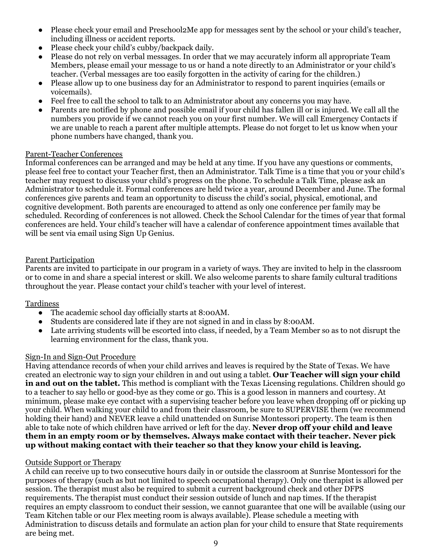- Please check your email and Preschool2Me app for messages sent by the school or your child's teacher, including illness or accident reports.
- Please check your child's cubby/backpack daily.
- Please do not rely on verbal messages. In order that we may accurately inform all appropriate Team Members, please email your message to us or hand a note directly to an Administrator or your child's teacher. (Verbal messages are too easily forgotten in the activity of caring for the children.)
- Please allow up to one business day for an Administrator to respond to parent inquiries (emails or voicemails).
- Feel free to call the school to talk to an Administrator about any concerns you may have.
- Parents are notified by phone and possible email if your child has fallen ill or is injured. We call all the numbers you provide if we cannot reach you on your first number. We will call Emergency Contacts if we are unable to reach a parent after multiple attempts. Please do not forget to let us know when your phone numbers have changed, thank you.

# Parent-Teacher Conferences

Informal conferences can be arranged and may be held at any time. If you have any questions or comments, please feel free to contact your Teacher first, then an Administrator. Talk Time is a time that you or your child's teacher may request to discuss your child's progress on the phone. To schedule a Talk Time, please ask an Administrator to schedule it. Formal conferences are held twice a year, around December and June. The formal conferences give parents and team an opportunity to discuss the child's social, physical, emotional, and cognitive development. Both parents are encouraged to attend as only one conference per family may be scheduled. Recording of conferences is not allowed. Check the School Calendar for the times of year that formal conferences are held. Your child's teacher will have a calendar of conference appointment times available that will be sent via email using Sign Up Genius.

# Parent Participation

Parents are invited to participate in our program in a variety of ways. They are invited to help in the classroom or to come in and share a special interest or skill. We also welcome parents to share family cultural traditions throughout the year. Please contact your child's teacher with your level of interest.

# Tardiness

- The academic school day officially starts at 8:00 AM.
- Students are considered late if they are not signed in and in class by 8:00AM.
- Late arriving students will be escorted into class, if needed, by a Team Member so as to not disrupt the learning environment for the class, thank you.

# Sign-In and Sign-Out Procedure

Having attendance records of when your child arrives and leaves is required by the State of Texas. We have created an electronic way to sign your children in and out using a tablet. **Our Teacher will sign your child in and out on the tablet.** This method is compliant with the Texas Licensing regulations. Children should go to a teacher to say hello or good-bye as they come or go. This is a good lesson in manners and courtesy. At minimum, please make eye contact with a supervising teacher before you leave when dropping off or picking up your child. When walking your child to and from their classroom, be sure to SUPERVISE them (we recommend holding their hand) and NEVER leave a child unattended on Sunrise Montessori property. The team is then able to take note of which children have arrived or left for the day. **Never drop off your child and leave them in an empty room or by themselves. Always make contact with their teacher. Never pick up without making contact with their teacher so that they know your child is leaving.**

# Outside Support or Therapy

A child can receive up to two consecutive hours daily in or outside the classroom at Sunrise Montessori for the purposes of therapy (such as but not limited to speech occupational therapy). Only one therapist is allowed per session. The therapist must also be required to submit a current background check and other DFPS requirements. The therapist must conduct their session outside of lunch and nap times. If the therapist requires an empty classroom to conduct their session, we cannot guarantee that one will be available (using our Team Kitchen table or our Flex meeting room is always available). Please schedule a meeting with Administration to discuss details and formulate an action plan for your child to ensure that State requirements are being met.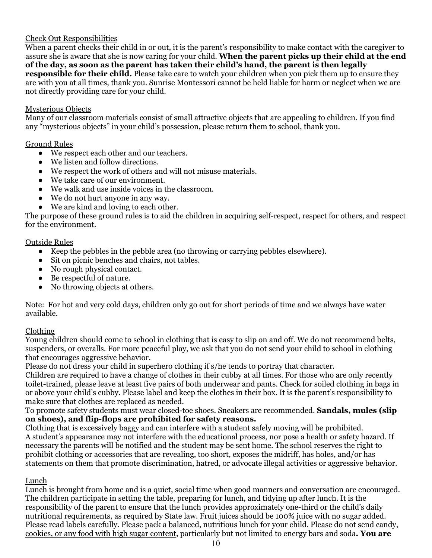# Check Out Responsibilities

When a parent checks their child in or out, it is the parent's responsibility to make contact with the caregiver to assure she is aware that she is now caring for your child. **When the parent picks up their child at the end of the day, as soon as the parent has taken their child's hand, the parent is then legally responsible for their child.** Please take care to watch your children when you pick them up to ensure they are with you at all times, thank you. Sunrise Montessori cannot be held liable for harm or neglect when we are not directly providing care for your child.

#### Mysterious Objects

Many of our classroom materials consist of small attractive objects that are appealing to children. If you find any "mysterious objects" in your child's possession, please return them to school, thank you.

#### Ground Rules

- We respect each other and our teachers.
- We listen and follow directions.
- We respect the work of others and will not misuse materials.
- We take care of our environment.
- We walk and use inside voices in the classroom.
- We do not hurt anyone in any way.
- We are kind and loving to each other.

The purpose of these ground rules is to aid the children in acquiring self-respect, respect for others, and respect for the environment.

# Outside Rules

- Keep the pebbles in the pebble area (no throwing or carrying pebbles elsewhere).
- Sit on picnic benches and chairs, not tables.
- No rough physical contact.
- Be respectful of nature.
- No throwing objects at others.

Note: For hot and very cold days, children only go out for short periods of time and we always have water available.

# Clothing

Young children should come to school in clothing that is easy to slip on and off. We do not recommend belts, suspenders, or overalls. For more peaceful play, we ask that you do not send your child to school in clothing that encourages aggressive behavior.

Please do not dress your child in superhero clothing if s/he tends to portray that character.

Children are required to have a change of clothes in their cubby at all times. For those who are only recently toilet-trained, please leave at least five pairs of both underwear and pants. Check for soiled clothing in bags in or above your child's cubby. Please label and keep the clothes in their box. It is the parent's responsibility to make sure that clothes are replaced as needed.

To promote safety students must wear closed-toe shoes. Sneakers are recommended. **Sandals, mules (slip on shoes), and flip-flops are prohibited for safety reasons.**

Clothing that is excessively baggy and can interfere with a student safely moving will be prohibited. A student's appearance may not interfere with the educational process, nor pose a health or safety hazard. If necessary the parents will be notified and the student may be sent home. The school reserves the right to prohibit clothing or accessories that are revealing, too short, exposes the midriff, has holes, and/or has statements on them that promote discrimination, hatred, or advocate illegal activities or aggressive behavior.

# Lunch

Lunch is brought from home and is a quiet, social time when good manners and conversation are encouraged. The children participate in setting the table, preparing for lunch, and tidying up after lunch. It is the responsibility of the parent to ensure that the lunch provides approximately one-third or the child's daily nutritional requirements, as required by State law. Fruit juices should be 100% juice with no sugar added. Please read labels carefully. Please pack a balanced, nutritious lunch for your child. Please do not send candy, cookies, or any food with high sugar content, particularly but not limited to energy bars and soda**. You are**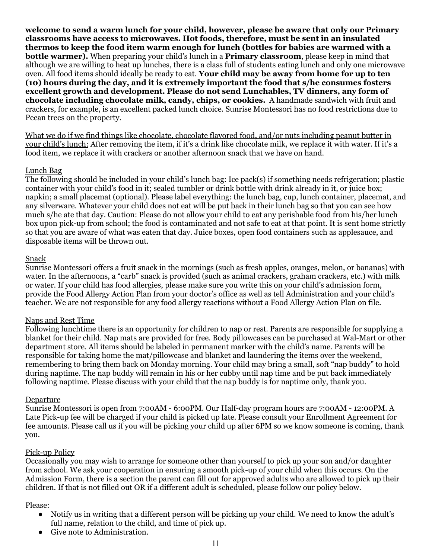**welcome to send a warm lunch for your child, however, please be aware that only our Primary classrooms have access to microwaves. Hot foods, therefore, must be sent in an insulated thermos to keep the food item warm enough for lunch (bottles for babies are warmed with a bottle warmer).** When preparing your child's lunch in a **Primary classroom**, please keep in mind that although we are willing to heat up lunches, there is a class full of students eating lunch and only one microwave oven. All food items should ideally be ready to eat. **Your child may be away from home for up to ten (10) hours during the day, and it is extremely important the food that s/he consumes fosters excellent growth and development. Please do not send Lunchables, TV dinners, any form of chocolate including chocolate milk, candy, chips, or cookies.** A handmade sandwich with fruit and crackers, for example, is an excellent packed lunch choice. Sunrise Montessori has no food restrictions due to Pecan trees on the property.

What we do if we find things like chocolate, chocolate flavored food, and/or nuts including peanut butter in your child's lunch: After removing the item, if it's a drink like chocolate milk, we replace it with water. If it's a food item, we replace it with crackers or another afternoon snack that we have on hand.

# Lunch Bag

The following should be included in your child's lunch bag: Ice pack(s) if something needs refrigeration; plastic container with your child's food in it; sealed tumbler or drink bottle with drink already in it, or juice box; napkin; a small placemat (optional). Please label everything: the lunch bag, cup, lunch container, placemat, and any silverware. Whatever your child does not eat will be put back in their lunch bag so that you can see how much s/he ate that day. Caution: Please do not allow your child to eat any perishable food from his/her lunch box upon pick-up from school; the food is contaminated and not safe to eat at that point. It is sent home strictly so that you are aware of what was eaten that day. Juice boxes, open food containers such as applesauce, and disposable items will be thrown out.

#### Snack

Sunrise Montessori offers a fruit snack in the mornings (such as fresh apples, oranges, melon, or bananas) with water. In the afternoons, a "carb" snack is provided (such as animal crackers, graham crackers, etc.) with milk or water. If your child has food allergies, please make sure you write this on your child's admission form, provide the Food Allergy Action Plan from your doctor's office as well as tell Administration and your child's teacher. We are not responsible for any food allergy reactions without a Food Allergy Action Plan on file.

#### Naps and Rest Time

Following lunchtime there is an opportunity for children to nap or rest. Parents are responsible for supplying a blanket for their child. Nap mats are provided for free. Body pillowcases can be purchased at Wal-Mart or other department store. All items should be labeled in permanent marker with the child's name. Parents will be responsible for taking home the mat/pillowcase and blanket and laundering the items over the weekend, remembering to bring them back on Monday morning. Your child may bring a small, soft "nap buddy" to hold during naptime. The nap buddy will remain in his or her cubby until nap time and be put back immediately following naptime. Please discuss with your child that the nap buddy is for naptime only, thank you.

#### Departure

Sunrise Montessori is open from 7:00AM - 6:00PM. Our Half-day program hours are 7:00AM - 12:00PM. A Late Pick-up fee will be charged if your child is picked up late. Please consult your Enrollment Agreement for fee amounts. Please call us if you will be picking your child up after 6PM so we know someone is coming, thank you.

# Pick-up Policy

Occasionally you may wish to arrange for someone other than yourself to pick up your son and/or daughter from school. We ask your cooperation in ensuring a smooth pick-up of your child when this occurs. On the Admission Form, there is a section the parent can fill out for approved adults who are allowed to pick up their children. If that is not filled out OR if a different adult is scheduled, please follow our policy below.

#### Please:

- Notify us in writing that a different person will be picking up your child. We need to know the adult's full name, relation to the child, and time of pick up.
- Give note to Administration.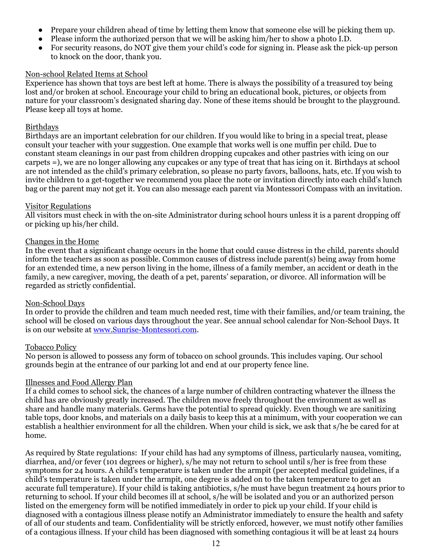- Prepare your children ahead of time by letting them know that someone else will be picking them up.
- Please inform the authorized person that we will be asking him/her to show a photo I.D.
- For security reasons, do NOT give them your child's code for signing in. Please ask the pick-up person to knock on the door, thank you.

#### Non-school Related Items at School

Experience has shown that toys are best left at home. There is always the possibility of a treasured toy being lost and/or broken at school. Encourage your child to bring an educational book, pictures, or objects from nature for your classroom's designated sharing day. None of these items should be brought to the playground. Please keep all toys at home.

# Birthdays

Birthdays are an important celebration for our children. If you would like to bring in a special treat, please consult your teacher with your suggestion. One example that works well is one muffin per child. Due to constant steam cleanings in our past from children dropping cupcakes and other pastries with icing on our carpets =), we are no longer allowing any cupcakes or any type of treat that has icing on it. Birthdays at school are not intended as the child's primary celebration, so please no party favors, balloons, hats, etc. If you wish to invite children to a get-together we recommend you place the note or invitation directly into each child's lunch bag or the parent may not get it. You can also message each parent via Montessori Compass with an invitation.

#### Visitor Regulations

All visitors must check in with the on-site Administrator during school hours unless it is a parent dropping off or picking up his/her child.

#### Changes in the Home

In the event that a significant change occurs in the home that could cause distress in the child, parents should inform the teachers as soon as possible. Common causes of distress include parent(s) being away from home for an extended time, a new person living in the home, illness of a family member, an accident or death in the family, a new caregiver, moving, the death of a pet, parents' separation, or divorce. All information will be regarded as strictly confidential.

# Non-School Days

In order to provide the children and team much needed rest, time with their families, and/or team training, the school will be closed on various days throughout the year. See annual school calendar for Non-School Days. It is on our website at [www.Sunrise-Montessori.com](http://www.sunrise-montessori.com/).

# Tobacco Policy

No person is allowed to possess any form of tobacco on school grounds. This includes vaping. Our school grounds begin at the entrance of our parking lot and end at our property fence line.

# Illnesses and Food Allergy Plan

If a child comes to school sick, the chances of a large number of children contracting whatever the illness the child has are obviously greatly increased. The children move freely throughout the environment as well as share and handle many materials. Germs have the potential to spread quickly. Even though we are sanitizing table tops, door knobs, and materials on a daily basis to keep this at a minimum, with your cooperation we can establish a healthier environment for all the children. When your child is sick, we ask that s/he be cared for at home.

As required by State regulations: If your child has had any symptoms of illness, particularly nausea, vomiting, diarrhea, and/or fever (101 degrees or higher), s/he may not return to school until s/her is free from these symptoms for 24 hours. A child's temperature is taken under the armpit (per accepted medical guidelines, if a child's temperature is taken under the armpit, one degree is added on to the taken temperature to get an accurate full temperature). If your child is taking antibiotics, s/he must have begun treatment 24 hours prior to returning to school. If your child becomes ill at school, s/he will be isolated and you or an authorized person listed on the emergency form will be notified immediately in order to pick up your child. If your child is diagnosed with a contagious illness please notify an Administrator immediately to ensure the health and safety of all of our students and team. Confidentiality will be strictly enforced, however, we must notify other families of a contagious illness. If your child has been diagnosed with something contagious it will be at least 24 hours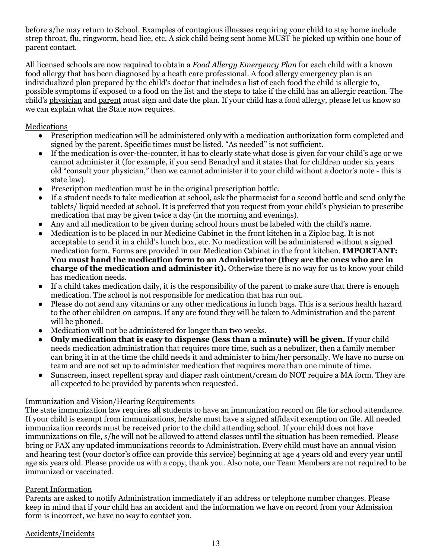before s/he may return to School. Examples of contagious illnesses requiring your child to stay home include strep throat, flu, ringworm, head lice, etc. A sick child being sent home MUST be picked up within one hour of parent contact.

All licensed schools are now required to obtain a *Food Allergy Emergency Plan* for each child with a known food allergy that has been diagnosed by a heath care professional. A food allergy emergency plan is an individualized plan prepared by the child's doctor that includes a list of each food the child is allergic to, possible symptoms if exposed to a food on the list and the steps to take if the child has an allergic reaction. The child's physician and parent must sign and date the plan. If your child has a food allergy, please let us know so we can explain what the State now requires.

# Medications

- Prescription medication will be administered only with a medication authorization form completed and signed by the parent. Specific times must be listed. "As needed" is not sufficient.
- If the medication is over-the-counter, it has to clearly state what dose is given for your child's age or we cannot administer it (for example, if you send Benadryl and it states that for children under six years old "consult your physician," then we cannot administer it to your child without a doctor's note - this is state law).
- Prescription medication must be in the original prescription bottle.
- If a student needs to take medication at school, ask the pharmacist for a second bottle and send only the tablets/ liquid needed at school. It is preferred that you request from your child's physician to prescribe medication that may be given twice a day (in the morning and evenings).
- Any and all medication to be given during school hours must be labeled with the child's name.
- Medication is to be placed in our Medicine Cabinet in the front kitchen in a Ziploc bag. It is not acceptable to send it in a child's lunch box, etc. No medication will be administered without a signed medication form. Forms are provided in our Medication Cabinet in the front kitchen. **IMPORTANT: You must hand the medication form to an Administrator (they are the ones who are in charge of the medication and administer it).** Otherwise there is no way for us to know your child has medication needs.
- If a child takes medication daily, it is the responsibility of the parent to make sure that there is enough medication. The school is not responsible for medication that has run out.
- Please do not send any vitamins or any other medications in lunch bags. This is a serious health hazard to the other children on campus. If any are found they will be taken to Administration and the parent will be phoned.
- Medication will not be administered for longer than two weeks.
- **Only medication that is easy to dispense (less than a minute) will be given.** If your child needs medication administration that requires more time, such as a nebulizer, then a family member can bring it in at the time the child needs it and administer to him/her personally. We have no nurse on team and are not set up to administer medication that requires more than one minute of time.
- Sunscreen, insect repellent spray and diaper rash ointment/cream do NOT require a MA form. They are all expected to be provided by parents when requested.

# Immunization and Vision/Hearing Requirements

The state immunization law requires all students to have an immunization record on file for school attendance. If your child is exempt from immunizations, he/she must have a signed affidavit exemption on file. All needed immunization records must be received prior to the child attending school. If your child does not have immunizations on file, s/he will not be allowed to attend classes until the situation has been remedied. Please bring or FAX any updated immunizations records to Administration. Every child must have an annual vision and hearing test (your doctor's office can provide this service) beginning at age 4 years old and every year until age six years old. Please provide us with a copy, thank you. Also note, our Team Members are not required to be immunized or vaccinated.

# Parent Information

Parents are asked to notify Administration immediately if an address or telephone number changes. Please keep in mind that if your child has an accident and the information we have on record from your Admission form is incorrect, we have no way to contact you.

Accidents/Incidents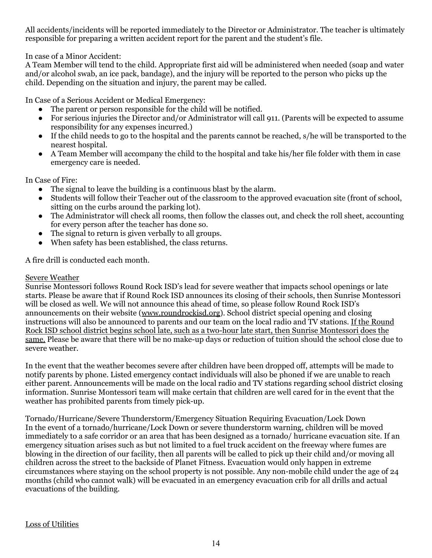All accidents/incidents will be reported immediately to the Director or Administrator. The teacher is ultimately responsible for preparing a written accident report for the parent and the student's file.

In case of a Minor Accident:

A Team Member will tend to the child. Appropriate first aid will be administered when needed (soap and water and/or alcohol swab, an ice pack, bandage), and the injury will be reported to the person who picks up the child. Depending on the situation and injury, the parent may be called.

In Case of a Serious Accident or Medical Emergency:

- The parent or person responsible for the child will be notified.
- For serious injuries the Director and/or Administrator will call 911. (Parents will be expected to assume responsibility for any expenses incurred.)
- If the child needs to go to the hospital and the parents cannot be reached, s/he will be transported to the nearest hospital.
- A Team Member will accompany the child to the hospital and take his/her file folder with them in case emergency care is needed.

In Case of Fire:

- The signal to leave the building is a continuous blast by the alarm.
- Students will follow their Teacher out of the classroom to the approved evacuation site (front of school, sitting on the curbs around the parking lot).
- The Administrator will check all rooms, then follow the classes out, and check the roll sheet, accounting for every person after the teacher has done so.
- The signal to return is given verbally to all groups.
- When safety has been established, the class returns.

A fire drill is conducted each month.

#### Severe Weather

Sunrise Montessori follows Round Rock ISD's lead for severe weather that impacts school openings or late starts. Please be aware that if Round Rock ISD announces its closing of their schools, then Sunrise Montessori will be closed as well. We will not announce this ahead of time, so please follow Round Rock ISD's announcements on their website ([www.roundrockisd.org](http://www.roundrockisd.org/)). School district special opening and closing instructions will also be announced to parents and our team on the local radio and TV stations. If the Round Rock ISD school district begins school late, such as a two-hour late start, then Sunrise Montessori does the same. Please be aware that there will be no make-up days or reduction of tuition should the school close due to severe weather.

In the event that the weather becomes severe after children have been dropped off, attempts will be made to notify parents by phone. Listed emergency contact individuals will also be phoned if we are unable to reach either parent. Announcements will be made on the local radio and TV stations regarding school district closing information. Sunrise Montessori team will make certain that children are well cared for in the event that the weather has prohibited parents from timely pick-up.

Tornado/Hurricane/Severe Thunderstorm/Emergency Situation Requiring Evacuation/Lock Down In the event of a tornado/hurricane/Lock Down or severe thunderstorm warning, children will be moved immediately to a safe corridor or an area that has been designed as a tornado/ hurricane evacuation site. If an emergency situation arises such as but not limited to a fuel truck accident on the freeway where fumes are blowing in the direction of our facility, then all parents will be called to pick up their child and/or moving all children across the street to the backside of Planet Fitness. Evacuation would only happen in extreme circumstances where staying on the school property is not possible. Any non-mobile child under the age of 24 months (child who cannot walk) will be evacuated in an emergency evacuation crib for all drills and actual evacuations of the building.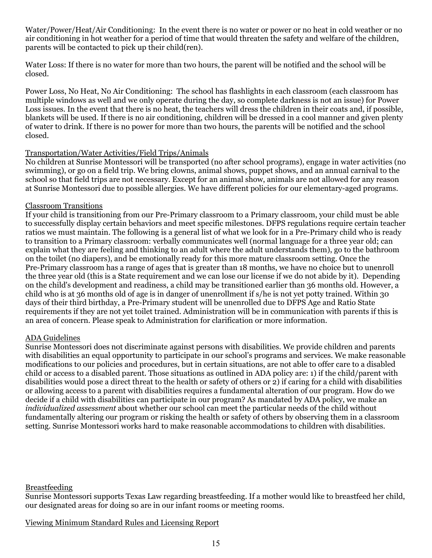Water/Power/Heat/Air Conditioning: In the event there is no water or power or no heat in cold weather or no air conditioning in hot weather for a period of time that would threaten the safety and welfare of the children, parents will be contacted to pick up their child(ren).

Water Loss: If there is no water for more than two hours, the parent will be notified and the school will be closed.

Power Loss, No Heat, No Air Conditioning: The school has flashlights in each classroom (each classroom has multiple windows as well and we only operate during the day, so complete darkness is not an issue) for Power Loss issues. In the event that there is no heat, the teachers will dress the children in their coats and, if possible, blankets will be used. If there is no air conditioning, children will be dressed in a cool manner and given plenty of water to drink. If there is no power for more than two hours, the parents will be notified and the school closed.

# Transportation/Water Activities/Field Trips/Animals

No children at Sunrise Montessori will be transported (no after school programs), engage in water activities (no swimming), or go on a field trip. We bring clowns, animal shows, puppet shows, and an annual carnival to the school so that field trips are not necessary. Except for an animal show, animals are not allowed for any reason at Sunrise Montessori due to possible allergies. We have different policies for our elementary-aged programs.

#### Classroom Transitions

If your child is transitioning from our Pre-Primary classroom to a Primary classroom, your child must be able to successfully display certain behaviors and meet specific milestones. DFPS regulations require certain teacher ratios we must maintain. The following is a general list of what we look for in a Pre-Primary child who is ready to transition to a Primary classroom: verbally communicates well (normal language for a three year old; can explain what they are feeling and thinking to an adult where the adult understands them), go to the bathroom on the toilet (no diapers), and be emotionally ready for this more mature classroom setting. Once the Pre-Primary classroom has a range of ages that is greater than 18 months, we have no choice but to unenroll the three year old (this is a State requirement and we can lose our license if we do not abide by it). Depending on the child's development and readiness, a child may be transitioned earlier than 36 months old. However, a child who is at 36 months old of age is in danger of unenrollment if s/he is not yet potty trained. Within 30 days of their third birthday, a Pre-Primary student will be unenrolled due to DFPS Age and Ratio State requirements if they are not yet toilet trained. Administration will be in communication with parents if this is an area of concern. Please speak to Administration for clarification or more information.

# ADA Guidelines

Sunrise Montessori does not discriminate against persons with disabilities. We provide children and parents with disabilities an equal opportunity to participate in our school's programs and services. We make reasonable modifications to our policies and procedures, but in certain situations, are not able to offer care to a disabled child or access to a disabled parent. Those situations as outlined in ADA policy are: 1) if the child/parent with disabilities would pose a direct threat to the health or safety of others or 2) if caring for a child with disabilities or allowing access to a parent with disabilities requires a fundamental alteration of our program. How do we decide if a child with disabilities can participate in our program? As mandated by ADA policy, we make an *individualized assessment* about whether our school can meet the particular needs of the child without fundamentally altering our program or risking the health or safety of others by observing them in a classroom setting. Sunrise Montessori works hard to make reasonable accommodations to children with disabilities.

# Breastfeeding

Sunrise Montessori supports Texas Law regarding breastfeeding. If a mother would like to breastfeed her child, our designated areas for doing so are in our infant rooms or meeting rooms.

# Viewing Minimum Standard Rules and Licensing Report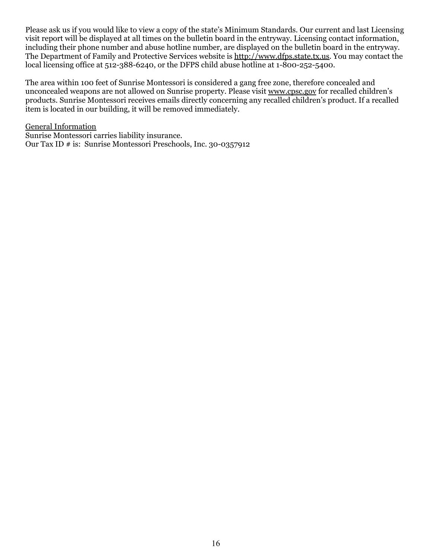Please ask us if you would like to view a copy of the state's Minimum Standards. Our current and last Licensing visit report will be displayed at all times on the bulletin board in the entryway. Licensing contact information, including their phone number and abuse hotline number, are displayed on the bulletin board in the entryway. The Department of Family and Protective Services website is [http://www.dfps.state.tx.us.](http://www.dfps.state.tx.us/) You may contact the local licensing office at 512-388-6240, or the DFPS child abuse hotline at 1-800-252-5400.

The area within 100 feet of Sunrise Montessori is considered a gang free zone, therefore concealed and unconcealed weapons are not allowed on Sunrise property. Please visit [www.cpsc.gov](http://www.cpsc.gov/) for recalled children's products. Sunrise Montessori receives emails directly concerning any recalled children's product. If a recalled item is located in our building, it will be removed immediately.

General Information Sunrise Montessori carries liability insurance. Our Tax ID # is: Sunrise Montessori Preschools, Inc. 30-0357912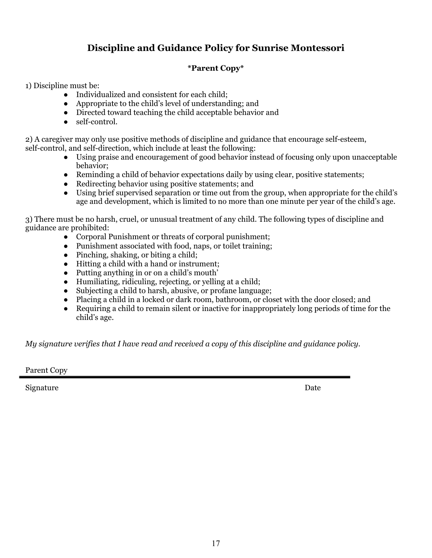# **Discipline and Guidance Policy for Sunrise Montessori**

# **\*Parent Copy\***

1) Discipline must be:

- Individualized and consistent for each child;
- Appropriate to the child's level of understanding; and
- Directed toward teaching the child acceptable behavior and
- self-control.

2) A caregiver may only use positive methods of discipline and guidance that encourage self-esteem, self-control, and self-direction, which include at least the following:

- Using praise and encouragement of good behavior instead of focusing only upon unacceptable behavior;
- Reminding a child of behavior expectations daily by using clear, positive statements;
- Redirecting behavior using positive statements; and
- Using brief supervised separation or time out from the group, when appropriate for the child's age and development, which is limited to no more than one minute per year of the child's age.

3) There must be no harsh, cruel, or unusual treatment of any child. The following types of discipline and guidance are prohibited:

- Corporal Punishment or threats of corporal punishment;
- Punishment associated with food, naps, or toilet training;
- Pinching, shaking, or biting a child;
- Hitting a child with a hand or instrument;
- Putting anything in or on a child's mouth'
- Humiliating, ridiculing, rejecting, or yelling at a child;
- Subjecting a child to harsh, abusive, or profane language;
- Placing a child in a locked or dark room, bathroom, or closet with the door closed; and
- Requiring a child to remain silent or inactive for inappropriately long periods of time for the child's age.

*My signature verifies that I have read and received a copy of this discipline and guidance policy.*

Parent Copy

Signature Date Date of the Date of the Date of the Date of the Date of the Date of the Date of the Date of the Date of the Date of the Date of the Date of the Date of the Date of the Date of the Date of the Date of the Dat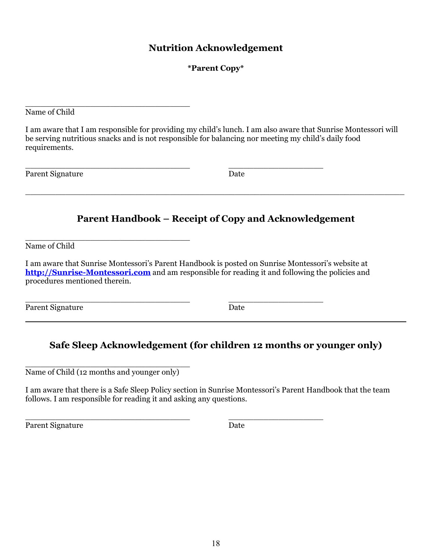# **Nutrition Acknowledgement**

# **\*Parent Copy\***

Name of Child

I am aware that I am responsible for providing my child's lunch. I am also aware that Sunrise Montessori will be serving nutritious snacks and is not responsible for balancing nor meeting my child's daily food requirements.

\_\_\_\_\_\_\_\_\_\_\_\_\_\_\_\_\_\_\_\_\_\_\_\_\_\_\_\_\_\_\_\_\_ \_\_\_\_\_\_\_\_\_\_\_\_\_\_\_\_\_\_\_

Parent Signature Date

# **Parent Handbook – Receipt of Copy and Acknowledgement**

\_\_\_\_\_\_\_\_\_\_\_\_\_\_\_\_\_\_\_\_\_\_\_\_\_\_\_\_\_\_\_\_\_\_\_\_\_\_\_\_\_\_\_\_\_\_\_\_\_\_\_\_\_\_\_\_\_\_\_\_\_\_\_\_\_\_\_\_\_\_\_\_\_\_\_\_

\_\_\_\_\_\_\_\_\_\_\_\_\_\_\_\_\_\_\_\_\_\_\_\_\_\_\_\_\_\_\_\_\_ Name of Child

I am aware that Sunrise Montessori's Parent Handbook is posted on Sunrise Montessori's website at **[http://Sunrise-Montessori.com](http://sunrise-montessori.com/)** and am responsible for reading it and following the policies and procedures mentioned therein.

Parent Signature Date

\_\_\_\_\_\_\_\_\_\_\_\_\_\_\_\_\_\_\_\_\_\_\_\_\_\_\_\_\_\_\_\_\_ \_\_\_\_\_\_\_\_\_\_\_\_\_\_\_\_\_\_\_

# **Safe Sleep Acknowledgement (for children 12 months or younger only)**

\_\_\_\_\_\_\_\_\_\_\_\_\_\_\_\_\_\_\_\_\_\_\_\_\_\_\_\_\_\_\_\_\_ Name of Child (12 months and younger only)

\_\_\_\_\_\_\_\_\_\_\_\_\_\_\_\_\_\_\_\_\_\_\_\_\_\_\_\_\_\_\_\_\_

I am aware that there is a Safe Sleep Policy section in Sunrise Montessori's Parent Handbook that the team follows. I am responsible for reading it and asking any questions.

\_\_\_\_\_\_\_\_\_\_\_\_\_\_\_\_\_\_\_\_\_\_\_\_\_\_\_\_\_\_\_\_\_ \_\_\_\_\_\_\_\_\_\_\_\_\_\_\_\_\_\_\_

Parent Signature Date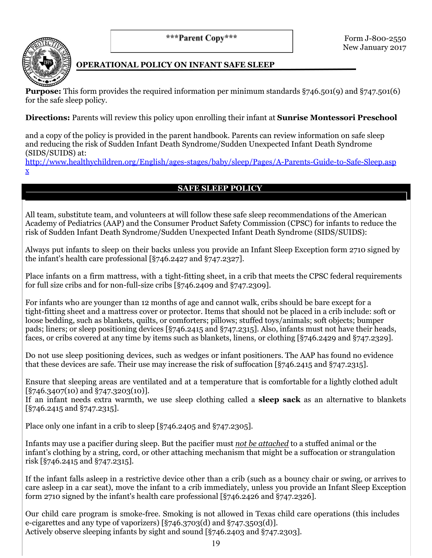\*\*\*Parent Copy\*\*\*



# **OPERATIONAL POLICY ON INFANT SAFE SLEEP**

**Purpose:** This form provides the required information per minimum standards §746.501(9) and §747.501(6) for the safe sleep policy.

**Directions:** Parents will review this policy upon enrolling their infant at **Sunrise Montessori Preschool**

and a copy of the policy is provided in the parent handbook. Parents can review information on safe sleep and reducing the risk of Sudden Infant Death Syndrome/Sudden Unexpected Infant Death Syndrome (SIDS/SUIDS) at:

[http://www.healthychildren.org/English/ages-stages/baby/sleep/Pages/A-Parents-Guide-to-Safe-Sleep.asp](http://www.healthychildren.org/English/ages-stages/baby/sleep/Pages/A-Parents-Guide-to-Safe-Sleep.aspx) [x](http://www.healthychildren.org/English/ages-stages/baby/sleep/Pages/A-Parents-Guide-to-Safe-Sleep.aspx)

# **SAFE SLEEP POLICY**

All team, substitute team, and volunteers at will follow these safe sleep recommendations of the American Academy of Pediatrics (AAP) and the Consumer Product Safety Commission (CPSC) for infants to reduce the risk of Sudden Infant Death Syndrome/Sudden Unexpected Infant Death Syndrome (SIDS/SUIDS):

Always put infants to sleep on their backs unless you provide an Infant Sleep Exception form 2710 signed by the infant's health care professional [§746.2427 and §747.2327].

Place infants on a firm mattress, with a tight-fitting sheet, in a crib that meets the CPSC federal requirements for full size cribs and for non-full-size cribs [§746.2409 and §747.2309].

For infants who are younger than 12 months of age and cannot walk, cribs should be bare except for a tight-fitting sheet and a mattress cover or protector. Items that should not be placed in a crib include: soft or loose bedding, such as blankets, quilts, or comforters; pillows; stuffed toys/animals; soft objects; bumper pads; liners; or sleep positioning devices [§746.2415 and §747.2315]. Also, infants must not have their heads, faces, or cribs covered at any time by items such as blankets, linens, or clothing [§746.2429 and §747.2329].

Do not use sleep positioning devices, such as wedges or infant positioners. The AAP has found no evidence that these devices are safe. Their use may increase the risk of suffocation [§746.2415 and §747.2315].

Ensure that sleeping areas are ventilated and at a temperature that is comfortable for a lightly clothed adult [§746.3407(10) and §747.3203(10)].

If an infant needs extra warmth, we use sleep clothing called a **sleep sack** as an alternative to blankets [§746.2415 and §747.2315].

Place only one infant in a crib to sleep [§746.2405 and §747.2305].

Infants may use a pacifier during sleep. But the pacifier must *not be attached* to a stuffed animal or the infant's clothing by a string, cord, or other attaching mechanism that might be a suffocation or strangulation risk [§746.2415 and §747.2315].

If the infant falls asleep in a restrictive device other than a crib (such as a bouncy chair or swing, or arrives to care asleep in a car seat), move the infant to a crib immediately, unless you provide an Infant Sleep Exception form 2710 signed by the infant's health care professional [§746.2426 and §747.2326].

Our child care program is smoke-free. Smoking is not allowed in Texas child care operations (this includes e-cigarettes and any type of vaporizers) [ $\S$ 746.3703(d) and  $\S$ 747.3503(d)]. Actively observe sleeping infants by sight and sound [§746.2403 and §747.2303].